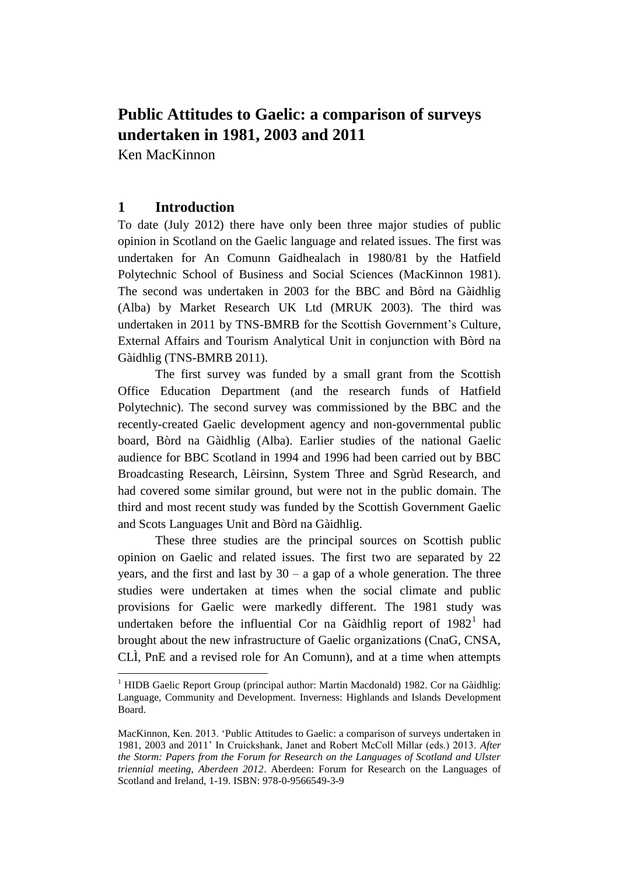# **Public Attitudes to Gaelic: a comparison of surveys undertaken in 1981, 2003 and 2011**

Ken MacKinnon

# **1 Introduction**

 $\overline{a}$ 

To date (July 2012) there have only been three major studies of public opinion in Scotland on the Gaelic language and related issues. The first was undertaken for An Comunn Gaidhealach in 1980/81 by the Hatfield Polytechnic School of Business and Social Sciences (MacKinnon 1981). The second was undertaken in 2003 for the BBC and Bòrd na Gàidhlig (Alba) by Market Research UK Ltd (MRUK 2003). The third was undertaken in 2011 by TNS-BMRB for the Scottish Government's Culture, External Affairs and Tourism Analytical Unit in conjunction with Bòrd na Gàidhlig (TNS-BMRB 2011).

The first survey was funded by a small grant from the Scottish Office Education Department (and the research funds of Hatfield Polytechnic). The second survey was commissioned by the BBC and the recently-created Gaelic development agency and non-governmental public board, Bòrd na Gàidhlig (Alba). Earlier studies of the national Gaelic audience for BBC Scotland in 1994 and 1996 had been carried out by BBC Broadcasting Research, Lèirsinn, System Three and Sgrùd Research, and had covered some similar ground, but were not in the public domain. The third and most recent study was funded by the Scottish Government Gaelic and Scots Languages Unit and Bòrd na Gàidhlig.

These three studies are the principal sources on Scottish public opinion on Gaelic and related issues. The first two are separated by 22 years, and the first and last by  $30 - a$  gap of a whole generation. The three studies were undertaken at times when the social climate and public provisions for Gaelic were markedly different. The 1981 study was undertaken before the influential Cor na Gàidhlig report of  $1982<sup>1</sup>$  had brought about the new infrastructure of Gaelic organizations (CnaG, CNSA, CLÌ, PnE and a revised role for An Comunn), and at a time when attempts

<sup>&</sup>lt;sup>1</sup> HIDB Gaelic Report Group (principal author: Martin Macdonald) 1982. Cor na Gàidhlig: Language, Community and Development. Inverness: Highlands and Islands Development Board.

MacKinnon, Ken. 2013. 'Public Attitudes to Gaelic: a comparison of surveys undertaken in 1981, 2003 and 2011' In Cruickshank, Janet and Robert McColl Millar (eds.) 2013. *After the Storm: Papers from the Forum for Research on the Languages of Scotland and Ulster triennial meeting, Aberdeen 2012*. Aberdeen: Forum for Research on the Languages of Scotland and Ireland, 1-19. ISBN: 978-0-9566549-3-9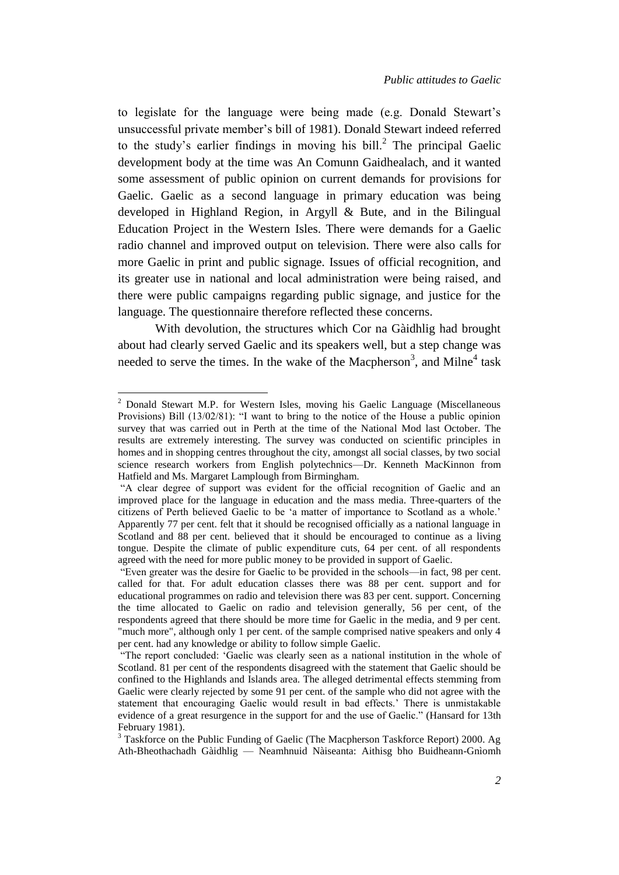to legislate for the language were being made (e.g. Donald Stewart's unsuccessful private member's bill of 1981). Donald Stewart indeed referred to the study's earlier findings in moving his bill. $^2$  The principal Gaelic development body at the time was An Comunn Gaidhealach, and it wanted some assessment of public opinion on current demands for provisions for Gaelic. Gaelic as a second language in primary education was being developed in Highland Region, in Argyll & Bute, and in the Bilingual Education Project in the Western Isles. There were demands for a Gaelic radio channel and improved output on television. There were also calls for more Gaelic in print and public signage. Issues of official recognition, and its greater use in national and local administration were being raised, and there were public campaigns regarding public signage, and justice for the language. The questionnaire therefore reflected these concerns.

With devolution, the structures which Cor na Gàidhlig had brought about had clearly served Gaelic and its speakers well, but a step change was needed to serve the times. In the wake of the Macpherson<sup>3</sup>, and Milne<sup>4</sup> task

 $\overline{a}$ 

<sup>2</sup> Donald Stewart M.P. for Western Isles, moving his Gaelic Language (Miscellaneous Provisions) Bill (13/02/81): "I want to bring to the notice of the House a public opinion survey that was carried out in Perth at the time of the National Mod last October. The results are extremely interesting. The survey was conducted on scientific principles in homes and in shopping centres throughout the city, amongst all social classes, by two social science research workers from English polytechnics—Dr. Kenneth MacKinnon from Hatfield and Ms. Margaret Lamplough from Birmingham.

<sup>&</sup>quot;A clear degree of support was evident for the official recognition of Gaelic and an improved place for the language in education and the mass media. Three-quarters of the citizens of Perth believed Gaelic to be 'a matter of importance to Scotland as a whole.' Apparently 77 per cent. felt that it should be recognised officially as a national language in Scotland and 88 per cent. believed that it should be encouraged to continue as a living tongue. Despite the climate of public expenditure cuts, 64 per cent. of all respondents agreed with the need for more public money to be provided in support of Gaelic.

<sup>&</sup>quot;Even greater was the desire for Gaelic to be provided in the schools—in fact, 98 per cent. called for that. For adult education classes there was 88 per cent. support and for educational programmes on radio and television there was 83 per cent. support. Concerning the time allocated to Gaelic on radio and television generally, 56 per cent, of the respondents agreed that there should be more time for Gaelic in the media, and 9 per cent. "much more", although only 1 per cent. of the sample comprised native speakers and only 4 per cent. had any knowledge or ability to follow simple Gaelic.

<sup>&</sup>quot;The report concluded: 'Gaelic was clearly seen as a national institution in the whole of Scotland. 81 per cent of the respondents disagreed with the statement that Gaelic should be confined to the Highlands and Islands area. The alleged detrimental effects stemming from Gaelic were clearly rejected by some 91 per cent. of the sample who did not agree with the statement that encouraging Gaelic would result in bad effects.' There is unmistakable evidence of a great resurgence in the support for and the use of Gaelic." (Hansard for 13th February 1981).

<sup>&</sup>lt;sup>3</sup> Taskforce on the Public Funding of Gaelic (The Macpherson Taskforce Report) 2000. Ag Ath-Bheothachadh Gàidhlig — Neamhnuid Nàiseanta: Aithisg bho Buidheann-Gnìomh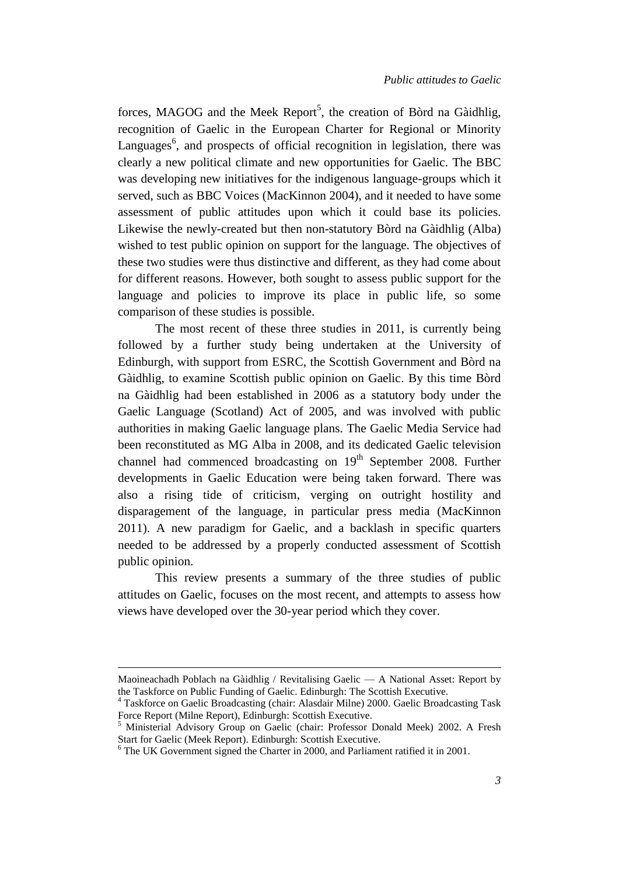forces, MAGOG and the Meek Report<sup>5</sup>, the creation of Bòrd na Gàidhlig, recognition of Gaelic in the European Charter for Regional or Minority Languages $<sup>6</sup>$ , and prospects of official recognition in legislation, there was</sup> clearly a new political climate and new opportunities for Gaelic. The BBC was developing new initiatives for the indigenous language-groups which it served, such as BBC Voices (MacKinnon 2004), and it needed to have some assessment of public attitudes upon which it could base its policies. Likewise the newly-created but then non-statutory Bòrd na Gàidhlig (Alba) wished to test public opinion on support for the language. The objectives of these two studies were thus distinctive and different, as they had come about for different reasons. However, both sought to assess public support for the language and policies to improve its place in public life, so some comparison of these studies is possible.

The most recent of these three studies in 2011, is currently being followed by a further study being undertaken at the University of Edinburgh, with support from ESRC, the Scottish Government and Bòrd na Gàidhlig, to examine Scottish public opinion on Gaelic. By this time Bòrd na Gàidhlig had been established in 2006 as a statutory body under the Gaelic Language (Scotland) Act of 2005, and was involved with public authorities in making Gaelic language plans. The Gaelic Media Service had been reconstituted as MG Alba in 2008, and its dedicated Gaelic television channel had commenced broadcasting on 19<sup>th</sup> September 2008. Further developments in Gaelic Education were being taken forward. There was also a rising tide of criticism, verging on outright hostility and disparagement of the language, in particular press media (MacKinnon 2011). A new paradigm for Gaelic, and a backlash in specific quarters needed to be addressed by a properly conducted assessment of Scottish public opinion.

This review presents a summary of the three studies of public attitudes on Gaelic, focuses on the most recent, and attempts to assess how views have developed over the 30-year period which they cover.

 $\overline{a}$ 

Maoineachadh Poblach na Gàidhlig / Revitalising Gaelic — A National Asset: Report by the Taskforce on Public Funding of Gaelic. Edinburgh: The Scottish Executive.

<sup>4</sup> Taskforce on Gaelic Broadcasting (chair: Alasdair Milne) 2000. Gaelic Broadcasting Task Force Report (Milne Report), Edinburgh: Scottish Executive.

<sup>5</sup> Ministerial Advisory Group on Gaelic (chair: Professor Donald Meek) 2002. A Fresh Start for Gaelic (Meek Report). Edinburgh: Scottish Executive.

<sup>&</sup>lt;sup>6</sup> The UK Government signed the Charter in 2000, and Parliament ratified it in 2001.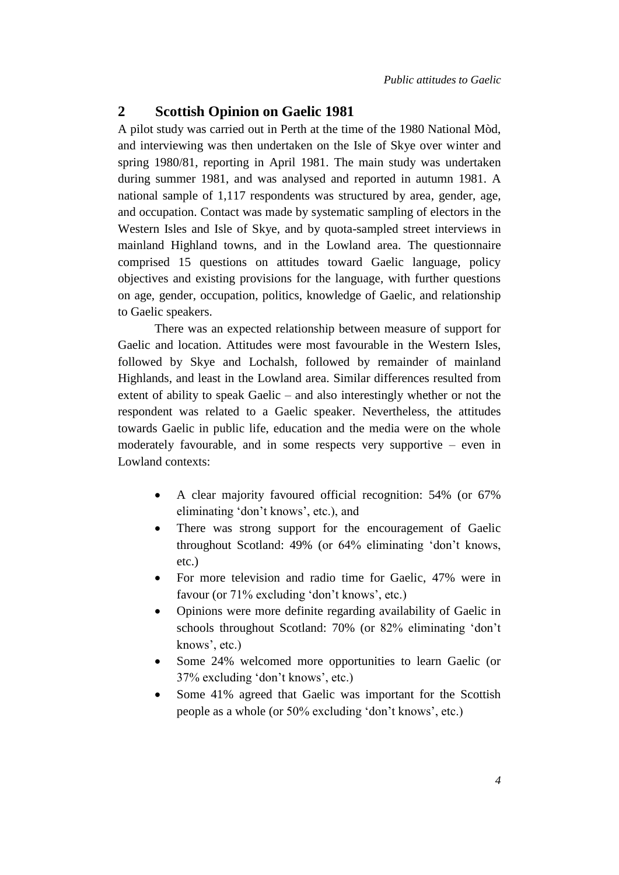#### **2 Scottish Opinion on Gaelic 1981**

A pilot study was carried out in Perth at the time of the 1980 National Mòd, and interviewing was then undertaken on the Isle of Skye over winter and spring 1980/81, reporting in April 1981. The main study was undertaken during summer 1981, and was analysed and reported in autumn 1981. A national sample of 1,117 respondents was structured by area, gender, age, and occupation. Contact was made by systematic sampling of electors in the Western Isles and Isle of Skye, and by quota-sampled street interviews in mainland Highland towns, and in the Lowland area. The questionnaire comprised 15 questions on attitudes toward Gaelic language, policy objectives and existing provisions for the language, with further questions on age, gender, occupation, politics, knowledge of Gaelic, and relationship to Gaelic speakers.

There was an expected relationship between measure of support for Gaelic and location. Attitudes were most favourable in the Western Isles, followed by Skye and Lochalsh, followed by remainder of mainland Highlands, and least in the Lowland area. Similar differences resulted from extent of ability to speak Gaelic – and also interestingly whether or not the respondent was related to a Gaelic speaker. Nevertheless, the attitudes towards Gaelic in public life, education and the media were on the whole moderately favourable, and in some respects very supportive – even in Lowland contexts:

- A clear majority favoured official recognition: 54% (or 67% eliminating 'don't knows', etc.), and
- There was strong support for the encouragement of Gaelic throughout Scotland: 49% (or 64% eliminating 'don't knows, etc.)
- For more television and radio time for Gaelic, 47% were in favour (or 71% excluding 'don't knows', etc.)
- Opinions were more definite regarding availability of Gaelic in schools throughout Scotland: 70% (or 82% eliminating 'don't knows', etc.)
- Some 24% welcomed more opportunities to learn Gaelic (or 37% excluding 'don't knows', etc.)
- Some 41% agreed that Gaelic was important for the Scottish people as a whole (or 50% excluding 'don't knows', etc.)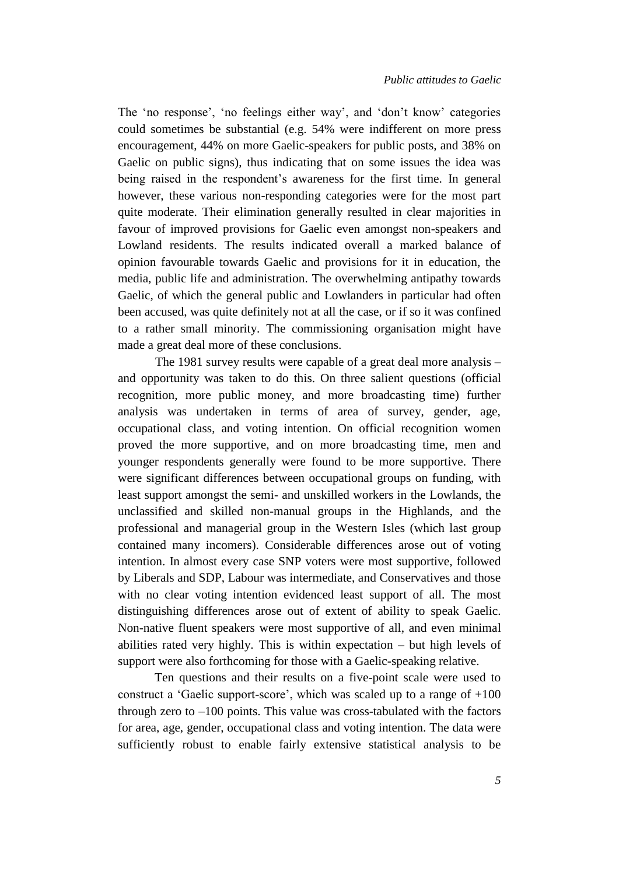The 'no response', 'no feelings either way', and 'don't know' categories could sometimes be substantial (e.g. 54% were indifferent on more press encouragement, 44% on more Gaelic-speakers for public posts, and 38% on Gaelic on public signs), thus indicating that on some issues the idea was being raised in the respondent's awareness for the first time. In general however, these various non-responding categories were for the most part quite moderate. Their elimination generally resulted in clear majorities in favour of improved provisions for Gaelic even amongst non-speakers and Lowland residents. The results indicated overall a marked balance of opinion favourable towards Gaelic and provisions for it in education, the media, public life and administration. The overwhelming antipathy towards Gaelic, of which the general public and Lowlanders in particular had often been accused, was quite definitely not at all the case, or if so it was confined to a rather small minority. The commissioning organisation might have made a great deal more of these conclusions.

The 1981 survey results were capable of a great deal more analysis – and opportunity was taken to do this. On three salient questions (official recognition, more public money, and more broadcasting time) further analysis was undertaken in terms of area of survey, gender, age, occupational class, and voting intention. On official recognition women proved the more supportive, and on more broadcasting time, men and younger respondents generally were found to be more supportive. There were significant differences between occupational groups on funding, with least support amongst the semi- and unskilled workers in the Lowlands, the unclassified and skilled non-manual groups in the Highlands, and the professional and managerial group in the Western Isles (which last group contained many incomers). Considerable differences arose out of voting intention. In almost every case SNP voters were most supportive, followed by Liberals and SDP, Labour was intermediate, and Conservatives and those with no clear voting intention evidenced least support of all. The most distinguishing differences arose out of extent of ability to speak Gaelic. Non-native fluent speakers were most supportive of all, and even minimal abilities rated very highly. This is within expectation – but high levels of support were also forthcoming for those with a Gaelic-speaking relative.

Ten questions and their results on a five-point scale were used to construct a 'Gaelic support-score', which was scaled up to a range of +100 through zero to  $-100$  points. This value was cross-tabulated with the factors for area, age, gender, occupational class and voting intention. The data were sufficiently robust to enable fairly extensive statistical analysis to be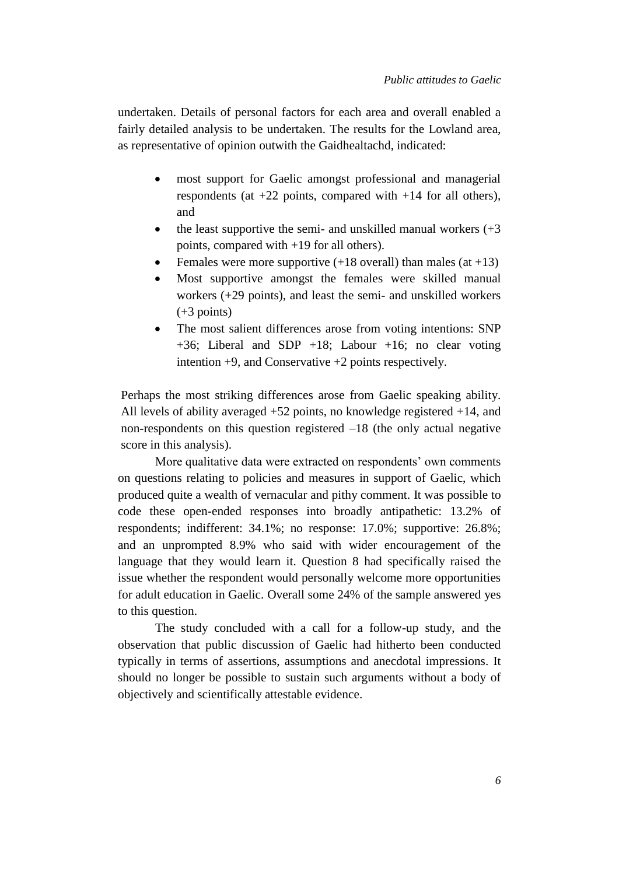undertaken. Details of personal factors for each area and overall enabled a fairly detailed analysis to be undertaken. The results for the Lowland area, as representative of opinion outwith the Gaidhealtachd, indicated:

- most support for Gaelic amongst professional and managerial respondents (at  $+22$  points, compared with  $+14$  for all others), and
- the least supportive the semi- and unskilled manual workers  $(+3)$ points, compared with +19 for all others).
- Females were more supportive  $(+18 \text{ overall})$  than males  $(at +13)$
- Most supportive amongst the females were skilled manual workers (+29 points), and least the semi- and unskilled workers (+3 points)
- The most salient differences arose from voting intentions: SNP +36; Liberal and SDP +18; Labour +16; no clear voting intention +9, and Conservative +2 points respectively.

Perhaps the most striking differences arose from Gaelic speaking ability. All levels of ability averaged +52 points, no knowledge registered +14, and non-respondents on this question registered –18 (the only actual negative score in this analysis).

More qualitative data were extracted on respondents' own comments on questions relating to policies and measures in support of Gaelic, which produced quite a wealth of vernacular and pithy comment. It was possible to code these open-ended responses into broadly antipathetic: 13.2% of respondents; indifferent: 34.1%; no response: 17.0%; supportive: 26.8%; and an unprompted 8.9% who said with wider encouragement of the language that they would learn it. Question 8 had specifically raised the issue whether the respondent would personally welcome more opportunities for adult education in Gaelic. Overall some 24% of the sample answered yes to this question.

The study concluded with a call for a follow-up study, and the observation that public discussion of Gaelic had hitherto been conducted typically in terms of assertions, assumptions and anecdotal impressions. It should no longer be possible to sustain such arguments without a body of objectively and scientifically attestable evidence.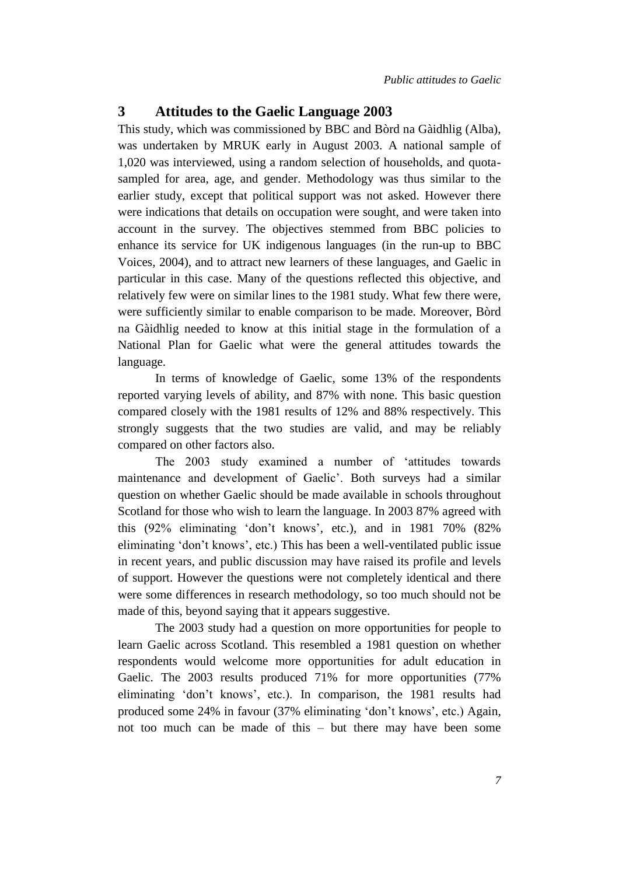#### **3 Attitudes to the Gaelic Language 2003**

This study, which was commissioned by BBC and Bòrd na Gàidhlig (Alba), was undertaken by MRUK early in August 2003. A national sample of 1,020 was interviewed, using a random selection of households, and quotasampled for area, age, and gender. Methodology was thus similar to the earlier study, except that political support was not asked. However there were indications that details on occupation were sought, and were taken into account in the survey. The objectives stemmed from BBC policies to enhance its service for UK indigenous languages (in the run-up to BBC Voices, 2004), and to attract new learners of these languages, and Gaelic in particular in this case. Many of the questions reflected this objective, and relatively few were on similar lines to the 1981 study. What few there were, were sufficiently similar to enable comparison to be made. Moreover, Bòrd na Gàidhlig needed to know at this initial stage in the formulation of a National Plan for Gaelic what were the general attitudes towards the language.

In terms of knowledge of Gaelic, some 13% of the respondents reported varying levels of ability, and 87% with none. This basic question compared closely with the 1981 results of 12% and 88% respectively. This strongly suggests that the two studies are valid, and may be reliably compared on other factors also.

The 2003 study examined a number of 'attitudes towards maintenance and development of Gaelic'. Both surveys had a similar question on whether Gaelic should be made available in schools throughout Scotland for those who wish to learn the language. In 2003 87% agreed with this (92% eliminating 'don't knows', etc.), and in 1981 70% (82% eliminating 'don't knows', etc.) This has been a well-ventilated public issue in recent years, and public discussion may have raised its profile and levels of support. However the questions were not completely identical and there were some differences in research methodology, so too much should not be made of this, beyond saying that it appears suggestive.

The 2003 study had a question on more opportunities for people to learn Gaelic across Scotland. This resembled a 1981 question on whether respondents would welcome more opportunities for adult education in Gaelic. The 2003 results produced 71% for more opportunities (77% eliminating 'don't knows', etc.). In comparison, the 1981 results had produced some 24% in favour (37% eliminating 'don't knows', etc.) Again, not too much can be made of this – but there may have been some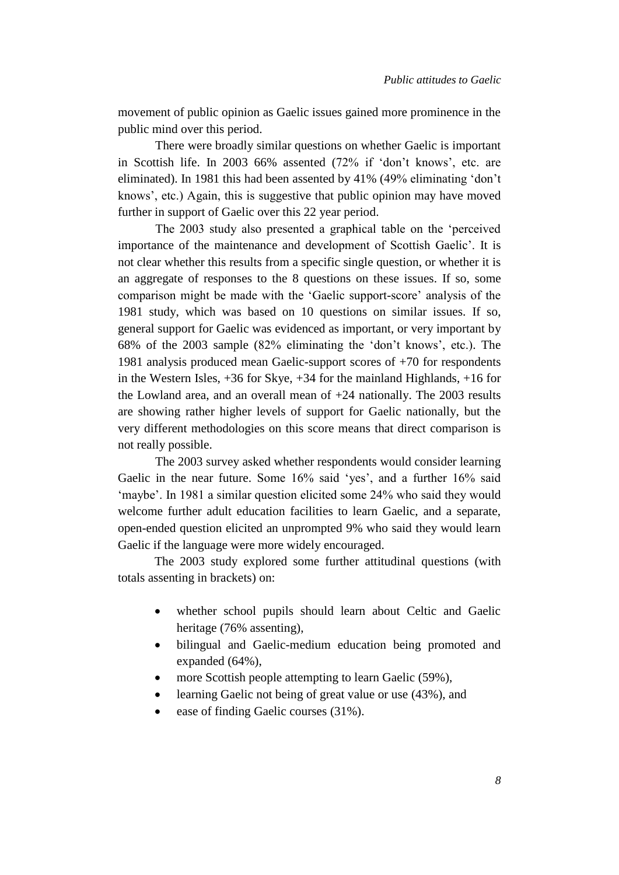movement of public opinion as Gaelic issues gained more prominence in the public mind over this period.

There were broadly similar questions on whether Gaelic is important in Scottish life. In 2003 66% assented (72% if 'don't knows', etc. are eliminated). In 1981 this had been assented by 41% (49% eliminating 'don't knows', etc.) Again, this is suggestive that public opinion may have moved further in support of Gaelic over this 22 year period.

The 2003 study also presented a graphical table on the 'perceived importance of the maintenance and development of Scottish Gaelic'. It is not clear whether this results from a specific single question, or whether it is an aggregate of responses to the 8 questions on these issues. If so, some comparison might be made with the 'Gaelic support-score' analysis of the 1981 study, which was based on 10 questions on similar issues. If so, general support for Gaelic was evidenced as important, or very important by 68% of the 2003 sample (82% eliminating the 'don't knows', etc.). The 1981 analysis produced mean Gaelic-support scores of +70 for respondents in the Western Isles, +36 for Skye, +34 for the mainland Highlands, +16 for the Lowland area, and an overall mean of +24 nationally. The 2003 results are showing rather higher levels of support for Gaelic nationally, but the very different methodologies on this score means that direct comparison is not really possible.

The 2003 survey asked whether respondents would consider learning Gaelic in the near future. Some 16% said 'yes', and a further 16% said 'maybe'. In 1981 a similar question elicited some 24% who said they would welcome further adult education facilities to learn Gaelic, and a separate, open-ended question elicited an unprompted 9% who said they would learn Gaelic if the language were more widely encouraged.

The 2003 study explored some further attitudinal questions (with totals assenting in brackets) on:

- whether school pupils should learn about Celtic and Gaelic heritage (76% assenting),
- bilingual and Gaelic-medium education being promoted and expanded (64%),
- more Scottish people attempting to learn Gaelic (59%),
- learning Gaelic not being of great value or use (43%), and
- ease of finding Gaelic courses (31%).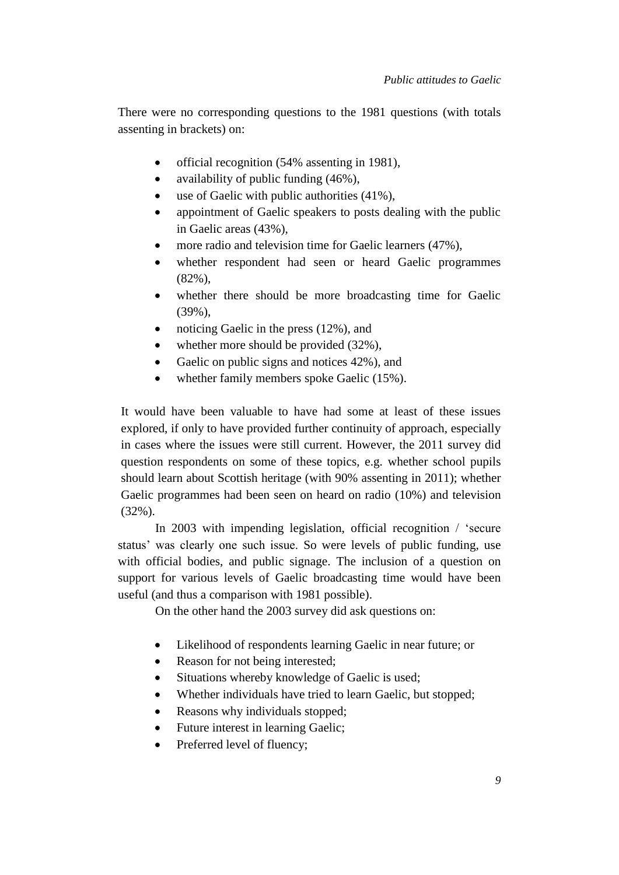There were no corresponding questions to the 1981 questions (with totals assenting in brackets) on:

- official recognition (54% assenting in 1981),
- availability of public funding  $(46\%)$ ,
- use of Gaelic with public authorities (41%),
- appointment of Gaelic speakers to posts dealing with the public in Gaelic areas (43%),
- more radio and television time for Gaelic learners (47%),
- whether respondent had seen or heard Gaelic programmes (82%),
- whether there should be more broadcasting time for Gaelic (39%),
- noticing Gaelic in the press (12%), and
- whether more should be provided  $(32\%)$ ,
- Gaelic on public signs and notices 42%), and
- whether family members spoke Gaelic (15%).

It would have been valuable to have had some at least of these issues explored, if only to have provided further continuity of approach, especially in cases where the issues were still current. However, the 2011 survey did question respondents on some of these topics, e.g. whether school pupils should learn about Scottish heritage (with 90% assenting in 2011); whether Gaelic programmes had been seen on heard on radio (10%) and television (32%).

In 2003 with impending legislation, official recognition / 'secure status' was clearly one such issue. So were levels of public funding, use with official bodies, and public signage. The inclusion of a question on support for various levels of Gaelic broadcasting time would have been useful (and thus a comparison with 1981 possible).

On the other hand the 2003 survey did ask questions on:

- Likelihood of respondents learning Gaelic in near future; or
- Reason for not being interested;
- Situations whereby knowledge of Gaelic is used;
- Whether individuals have tried to learn Gaelic, but stopped;
- Reasons why individuals stopped;
- Future interest in learning Gaelic;
- Preferred level of fluency;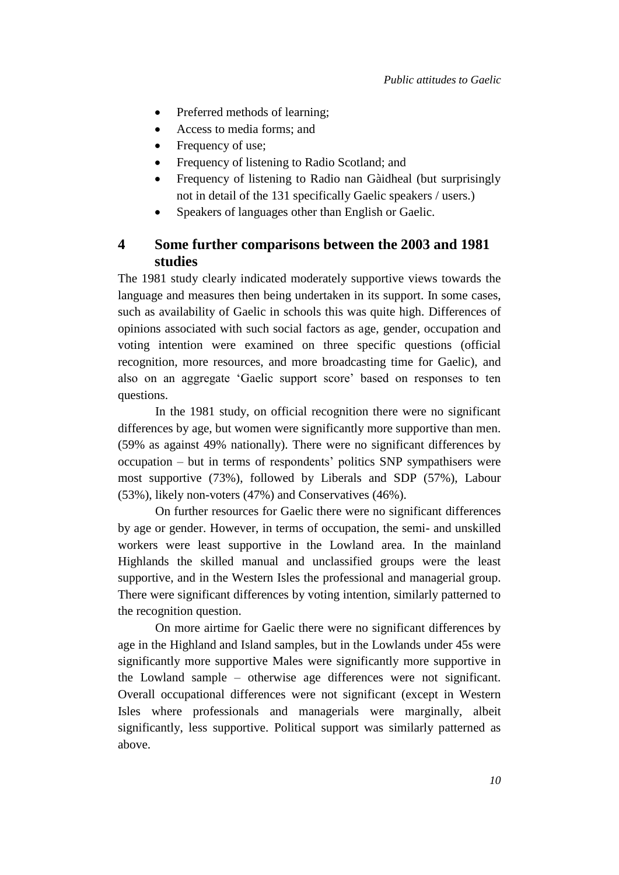- Preferred methods of learning;
- Access to media forms; and
- Frequency of use;
- Frequency of listening to Radio Scotland; and
- Frequency of listening to Radio nan Gàidheal (but surprisingly not in detail of the 131 specifically Gaelic speakers / users.)
- Speakers of languages other than English or Gaelic.

## **4 Some further comparisons between the 2003 and 1981 studies**

The 1981 study clearly indicated moderately supportive views towards the language and measures then being undertaken in its support. In some cases, such as availability of Gaelic in schools this was quite high. Differences of opinions associated with such social factors as age, gender, occupation and voting intention were examined on three specific questions (official recognition, more resources, and more broadcasting time for Gaelic), and also on an aggregate 'Gaelic support score' based on responses to ten questions.

In the 1981 study, on official recognition there were no significant differences by age, but women were significantly more supportive than men. (59% as against 49% nationally). There were no significant differences by occupation – but in terms of respondents' politics SNP sympathisers were most supportive (73%), followed by Liberals and SDP (57%), Labour (53%), likely non-voters (47%) and Conservatives (46%).

On further resources for Gaelic there were no significant differences by age or gender. However, in terms of occupation, the semi- and unskilled workers were least supportive in the Lowland area. In the mainland Highlands the skilled manual and unclassified groups were the least supportive, and in the Western Isles the professional and managerial group. There were significant differences by voting intention, similarly patterned to the recognition question.

On more airtime for Gaelic there were no significant differences by age in the Highland and Island samples, but in the Lowlands under 45s were significantly more supportive Males were significantly more supportive in the Lowland sample – otherwise age differences were not significant. Overall occupational differences were not significant (except in Western Isles where professionals and managerials were marginally, albeit significantly, less supportive. Political support was similarly patterned as above.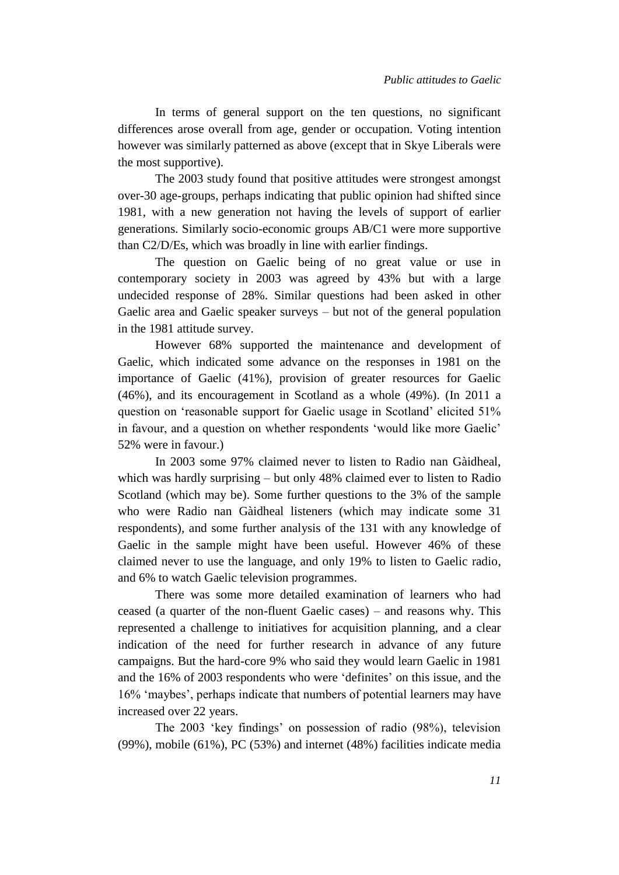In terms of general support on the ten questions, no significant differences arose overall from age, gender or occupation. Voting intention however was similarly patterned as above (except that in Skye Liberals were the most supportive).

The 2003 study found that positive attitudes were strongest amongst over-30 age-groups, perhaps indicating that public opinion had shifted since 1981, with a new generation not having the levels of support of earlier generations. Similarly socio-economic groups AB/C1 were more supportive than C2/D/Es, which was broadly in line with earlier findings.

The question on Gaelic being of no great value or use in contemporary society in 2003 was agreed by 43% but with a large undecided response of 28%. Similar questions had been asked in other Gaelic area and Gaelic speaker surveys – but not of the general population in the 1981 attitude survey.

However 68% supported the maintenance and development of Gaelic, which indicated some advance on the responses in 1981 on the importance of Gaelic (41%), provision of greater resources for Gaelic (46%), and its encouragement in Scotland as a whole (49%). (In 2011 a question on 'reasonable support for Gaelic usage in Scotland' elicited 51% in favour, and a question on whether respondents 'would like more Gaelic' 52% were in favour.)

In 2003 some 97% claimed never to listen to Radio nan Gàidheal, which was hardly surprising – but only 48% claimed ever to listen to Radio Scotland (which may be). Some further questions to the 3% of the sample who were Radio nan Gàidheal listeners (which may indicate some 31 respondents), and some further analysis of the 131 with any knowledge of Gaelic in the sample might have been useful. However 46% of these claimed never to use the language, and only 19% to listen to Gaelic radio, and 6% to watch Gaelic television programmes.

There was some more detailed examination of learners who had ceased (a quarter of the non-fluent Gaelic cases) – and reasons why. This represented a challenge to initiatives for acquisition planning, and a clear indication of the need for further research in advance of any future campaigns. But the hard-core 9% who said they would learn Gaelic in 1981 and the 16% of 2003 respondents who were 'definites' on this issue, and the 16% 'maybes', perhaps indicate that numbers of potential learners may have increased over 22 years.

The 2003 'key findings' on possession of radio (98%), television (99%), mobile (61%), PC (53%) and internet (48%) facilities indicate media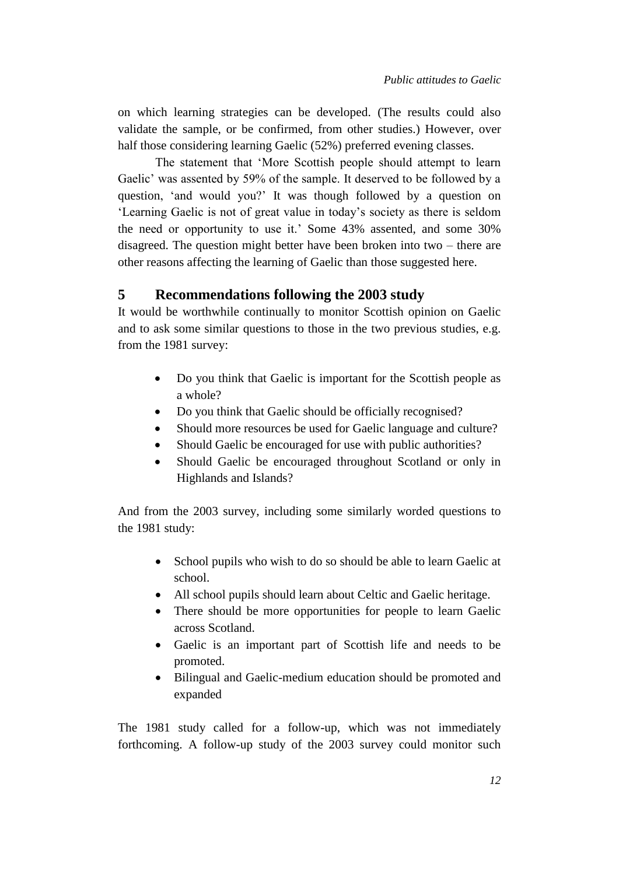on which learning strategies can be developed. (The results could also validate the sample, or be confirmed, from other studies.) However, over half those considering learning Gaelic (52%) preferred evening classes.

The statement that 'More Scottish people should attempt to learn Gaelic' was assented by 59% of the sample. It deserved to be followed by a question, 'and would you?' It was though followed by a question on 'Learning Gaelic is not of great value in today's society as there is seldom the need or opportunity to use it.' Some 43% assented, and some 30% disagreed. The question might better have been broken into two – there are other reasons affecting the learning of Gaelic than those suggested here.

# **5 Recommendations following the 2003 study**

It would be worthwhile continually to monitor Scottish opinion on Gaelic and to ask some similar questions to those in the two previous studies, e.g. from the 1981 survey:

- Do you think that Gaelic is important for the Scottish people as a whole?
- Do you think that Gaelic should be officially recognised?
- Should more resources be used for Gaelic language and culture?
- Should Gaelic be encouraged for use with public authorities?
- Should Gaelic be encouraged throughout Scotland or only in Highlands and Islands?

And from the 2003 survey, including some similarly worded questions to the 1981 study:

- School pupils who wish to do so should be able to learn Gaelic at school.
- All school pupils should learn about Celtic and Gaelic heritage.
- There should be more opportunities for people to learn Gaelic across Scotland.
- Gaelic is an important part of Scottish life and needs to be promoted.
- Bilingual and Gaelic-medium education should be promoted and expanded

The 1981 study called for a follow-up, which was not immediately forthcoming. A follow-up study of the 2003 survey could monitor such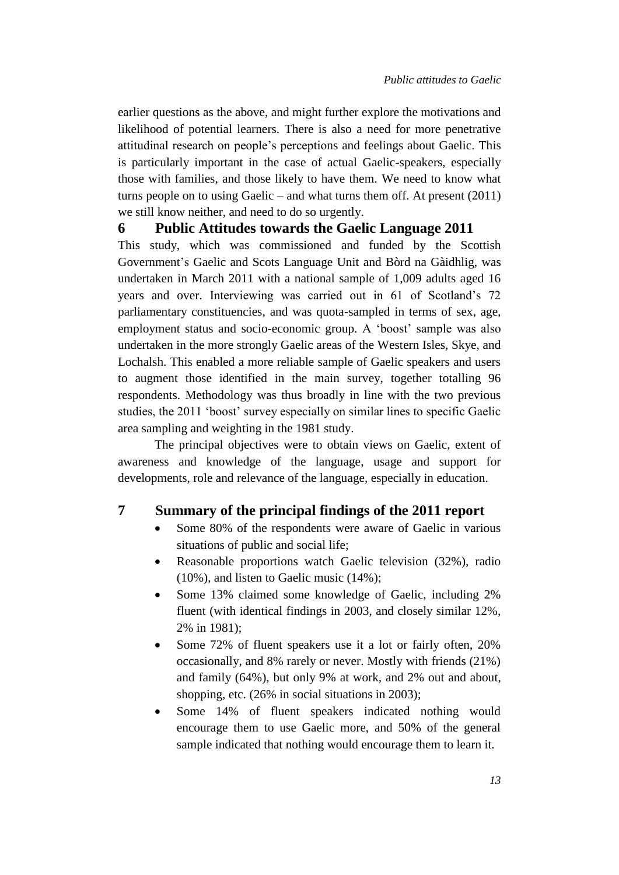earlier questions as the above, and might further explore the motivations and likelihood of potential learners. There is also a need for more penetrative attitudinal research on people's perceptions and feelings about Gaelic. This is particularly important in the case of actual Gaelic-speakers, especially those with families, and those likely to have them. We need to know what turns people on to using Gaelic – and what turns them off. At present (2011) we still know neither, and need to do so urgently.

## **6 Public Attitudes towards the Gaelic Language 2011**

This study, which was commissioned and funded by the Scottish Government's Gaelic and Scots Language Unit and Bòrd na Gàidhlig, was undertaken in March 2011 with a national sample of 1,009 adults aged 16 years and over. Interviewing was carried out in 61 of Scotland's 72 parliamentary constituencies, and was quota-sampled in terms of sex, age, employment status and socio-economic group. A 'boost' sample was also undertaken in the more strongly Gaelic areas of the Western Isles, Skye, and Lochalsh. This enabled a more reliable sample of Gaelic speakers and users to augment those identified in the main survey, together totalling 96 respondents. Methodology was thus broadly in line with the two previous studies, the 2011 'boost' survey especially on similar lines to specific Gaelic area sampling and weighting in the 1981 study.

The principal objectives were to obtain views on Gaelic, extent of awareness and knowledge of the language, usage and support for developments, role and relevance of the language, especially in education.

### **7 Summary of the principal findings of the 2011 report**

- Some 80% of the respondents were aware of Gaelic in various situations of public and social life;
- Reasonable proportions watch Gaelic television (32%), radio (10%), and listen to Gaelic music (14%);
- Some 13% claimed some knowledge of Gaelic, including 2% fluent (with identical findings in 2003, and closely similar 12%, 2% in 1981);
- Some 72% of fluent speakers use it a lot or fairly often, 20% occasionally, and 8% rarely or never. Mostly with friends (21%) and family (64%), but only 9% at work, and 2% out and about, shopping, etc. (26% in social situations in 2003);
- Some 14% of fluent speakers indicated nothing would encourage them to use Gaelic more, and 50% of the general sample indicated that nothing would encourage them to learn it.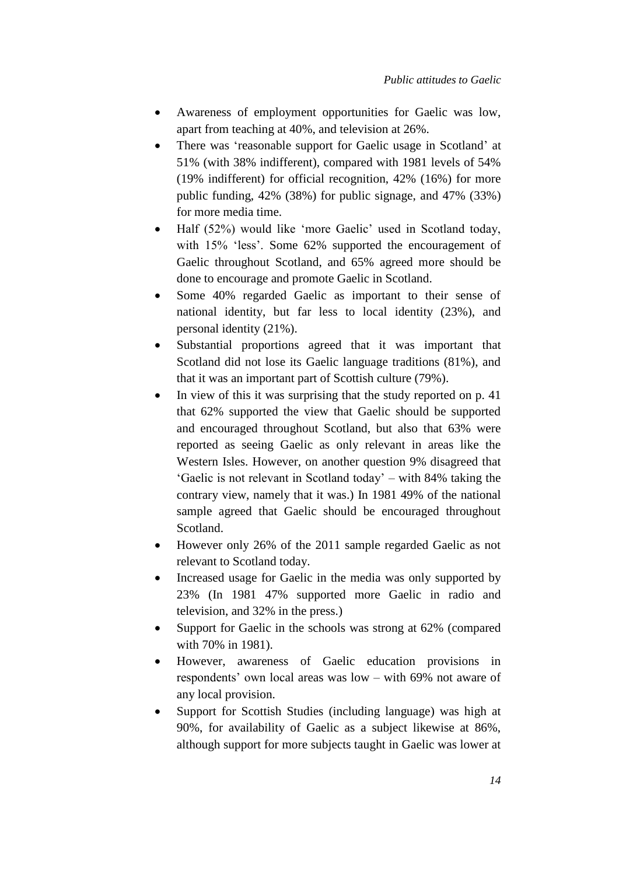- Awareness of employment opportunities for Gaelic was low, apart from teaching at 40%, and television at 26%.
- There was 'reasonable support for Gaelic usage in Scotland' at 51% (with 38% indifferent), compared with 1981 levels of 54% (19% indifferent) for official recognition, 42% (16%) for more public funding, 42% (38%) for public signage, and 47% (33%) for more media time.
- Half (52%) would like 'more Gaelic' used in Scotland today, with 15% 'less'. Some 62% supported the encouragement of Gaelic throughout Scotland, and 65% agreed more should be done to encourage and promote Gaelic in Scotland.
- Some 40% regarded Gaelic as important to their sense of national identity, but far less to local identity (23%), and personal identity (21%).
- Substantial proportions agreed that it was important that Scotland did not lose its Gaelic language traditions (81%), and that it was an important part of Scottish culture (79%).
- In view of this it was surprising that the study reported on p. 41 that 62% supported the view that Gaelic should be supported and encouraged throughout Scotland, but also that 63% were reported as seeing Gaelic as only relevant in areas like the Western Isles. However, on another question 9% disagreed that 'Gaelic is not relevant in Scotland today' – with 84% taking the contrary view, namely that it was.) In 1981 49% of the national sample agreed that Gaelic should be encouraged throughout Scotland.
- However only 26% of the 2011 sample regarded Gaelic as not relevant to Scotland today.
- Increased usage for Gaelic in the media was only supported by 23% (In 1981 47% supported more Gaelic in radio and television, and 32% in the press.)
- Support for Gaelic in the schools was strong at 62% (compared with 70% in 1981).
- However, awareness of Gaelic education provisions in respondents' own local areas was low – with 69% not aware of any local provision.
- Support for Scottish Studies (including language) was high at 90%, for availability of Gaelic as a subject likewise at 86%, although support for more subjects taught in Gaelic was lower at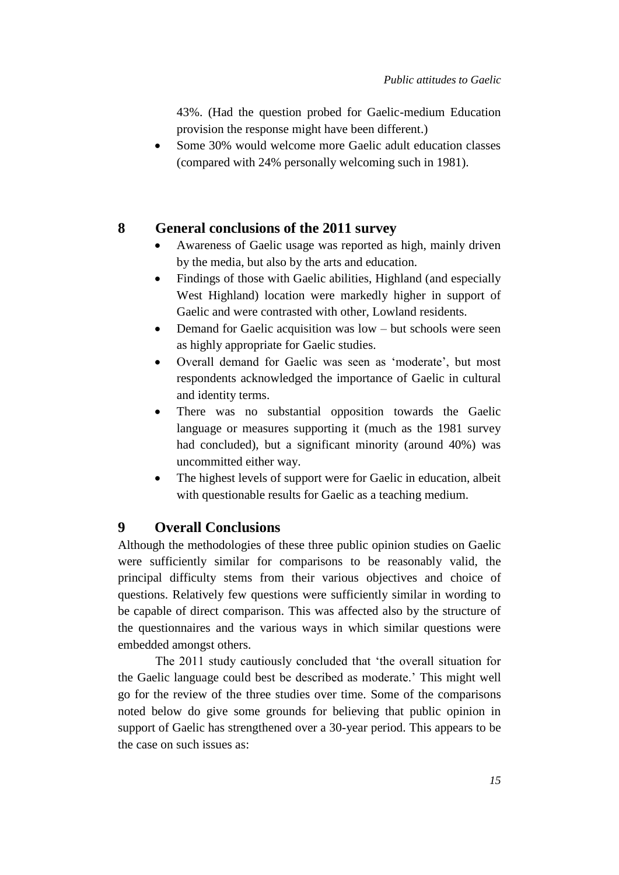43%. (Had the question probed for Gaelic-medium Education provision the response might have been different.)

• Some 30% would welcome more Gaelic adult education classes (compared with 24% personally welcoming such in 1981).

## **8 General conclusions of the 2011 survey**

- Awareness of Gaelic usage was reported as high, mainly driven by the media, but also by the arts and education.
- Findings of those with Gaelic abilities, Highland (and especially West Highland) location were markedly higher in support of Gaelic and were contrasted with other, Lowland residents.
- Demand for Gaelic acquisition was low but schools were seen as highly appropriate for Gaelic studies.
- Overall demand for Gaelic was seen as 'moderate', but most respondents acknowledged the importance of Gaelic in cultural and identity terms.
- There was no substantial opposition towards the Gaelic language or measures supporting it (much as the 1981 survey had concluded), but a significant minority (around 40%) was uncommitted either way.
- The highest levels of support were for Gaelic in education, albeit with questionable results for Gaelic as a teaching medium.

## **9 Overall Conclusions**

Although the methodologies of these three public opinion studies on Gaelic were sufficiently similar for comparisons to be reasonably valid, the principal difficulty stems from their various objectives and choice of questions. Relatively few questions were sufficiently similar in wording to be capable of direct comparison. This was affected also by the structure of the questionnaires and the various ways in which similar questions were embedded amongst others.

The 2011 study cautiously concluded that 'the overall situation for the Gaelic language could best be described as moderate.' This might well go for the review of the three studies over time. Some of the comparisons noted below do give some grounds for believing that public opinion in support of Gaelic has strengthened over a 30-year period. This appears to be the case on such issues as: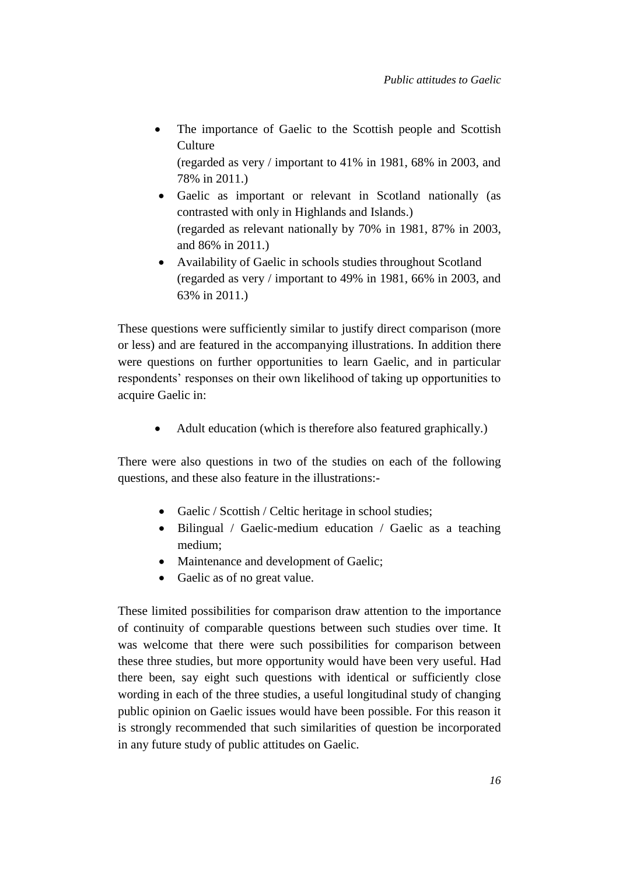The importance of Gaelic to the Scottish people and Scottish Culture

(regarded as very / important to 41% in 1981, 68% in 2003, and 78% in 2011.)

- Gaelic as important or relevant in Scotland nationally (as contrasted with only in Highlands and Islands.) (regarded as relevant nationally by 70% in 1981, 87% in 2003, and 86% in 2011.)
- Availability of Gaelic in schools studies throughout Scotland (regarded as very / important to 49% in 1981, 66% in 2003, and 63% in 2011.)

These questions were sufficiently similar to justify direct comparison (more or less) and are featured in the accompanying illustrations. In addition there were questions on further opportunities to learn Gaelic, and in particular respondents' responses on their own likelihood of taking up opportunities to acquire Gaelic in:

• Adult education (which is therefore also featured graphically.)

There were also questions in two of the studies on each of the following questions, and these also feature in the illustrations:-

- Gaelic / Scottish / Celtic heritage in school studies;
- Bilingual / Gaelic-medium education / Gaelic as a teaching medium;
- Maintenance and development of Gaelic;
- Gaelic as of no great value.

These limited possibilities for comparison draw attention to the importance of continuity of comparable questions between such studies over time. It was welcome that there were such possibilities for comparison between these three studies, but more opportunity would have been very useful. Had there been, say eight such questions with identical or sufficiently close wording in each of the three studies, a useful longitudinal study of changing public opinion on Gaelic issues would have been possible. For this reason it is strongly recommended that such similarities of question be incorporated in any future study of public attitudes on Gaelic.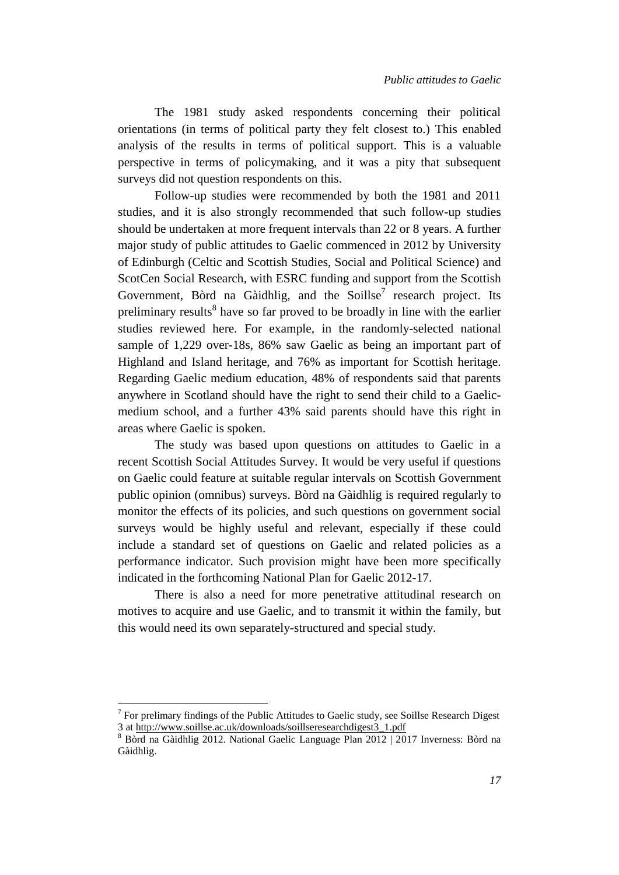The 1981 study asked respondents concerning their political orientations (in terms of political party they felt closest to.) This enabled analysis of the results in terms of political support. This is a valuable perspective in terms of policymaking, and it was a pity that subsequent surveys did not question respondents on this.

Follow-up studies were recommended by both the 1981 and 2011 studies, and it is also strongly recommended that such follow-up studies should be undertaken at more frequent intervals than 22 or 8 years. A further major study of public attitudes to Gaelic commenced in 2012 by University of Edinburgh (Celtic and Scottish Studies, Social and Political Science) and ScotCen Social Research, with ESRC funding and support from the Scottish Government, Bòrd na Gàidhlig, and the Soillse<sup>7</sup> research project. Its preliminary results<sup>8</sup> have so far proved to be broadly in line with the earlier studies reviewed here. For example, in the randomly-selected national sample of 1,229 over-18s, 86% saw Gaelic as being an important part of Highland and Island heritage, and 76% as important for Scottish heritage. Regarding Gaelic medium education, 48% of respondents said that parents anywhere in Scotland should have the right to send their child to a Gaelicmedium school, and a further 43% said parents should have this right in areas where Gaelic is spoken.

The study was based upon questions on attitudes to Gaelic in a recent Scottish Social Attitudes Survey. It would be very useful if questions on Gaelic could feature at suitable regular intervals on Scottish Government public opinion (omnibus) surveys. Bòrd na Gàidhlig is required regularly to monitor the effects of its policies, and such questions on government social surveys would be highly useful and relevant, especially if these could include a standard set of questions on Gaelic and related policies as a performance indicator. Such provision might have been more specifically indicated in the forthcoming National Plan for Gaelic 2012-17.

There is also a need for more penetrative attitudinal research on motives to acquire and use Gaelic, and to transmit it within the family, but this would need its own separately-structured and special study.

 $\overline{a}$ 

 $7$  For prelimary findings of the Public Attitudes to Gaelic study, see Soillse Research Digest 3 at http://www.soillse.ac.uk/downloads/soillseresearchdigest3\_1.pdf

<sup>8</sup> Bòrd na Gàidhlig 2012. National Gaelic Language Plan 2012 | 2017 Inverness: Bòrd na Gàidhlig.